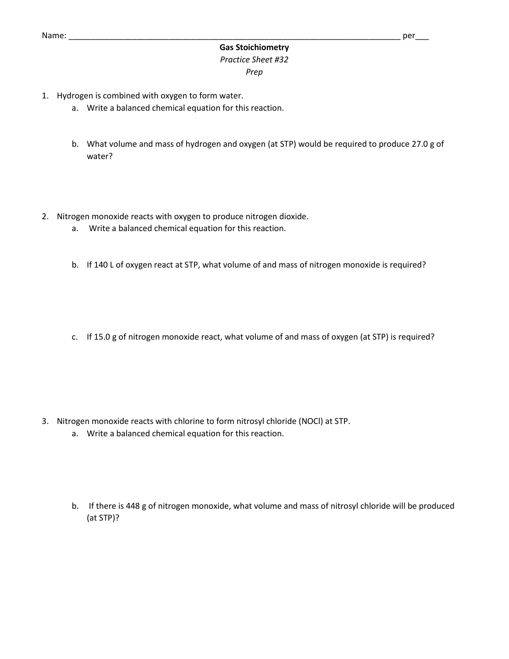## **Gas Stoichiometry** *Practice Sheet #32 Prep*

- 1. Hydrogen is combined with oxygen to form water.
	- a. Write a balanced chemical equation for this reaction.
	- b. What volume and mass of hydrogen and oxygen (at STP) would be required to produce 27.0 g of water?
- 2. Nitrogen monoxide reacts with oxygen to produce nitrogen dioxide.
	- a. Write a balanced chemical equation for this reaction.
	- b. If 140 L of oxygen react at STP, what volume of and mass of nitrogen monoxide is required?
	- c. If 15.0 g of nitrogen monoxide react, what volume of and mass of oxygen (at STP) is required?

- 3. Nitrogen monoxide reacts with chlorine to form nitrosyl chloride (NOCl) at STP.
	- a. Write a balanced chemical equation for this reaction.
	- b. If there is 448 g of nitrogen monoxide, what volume and mass of nitrosyl chloride will be produced (at STP)?